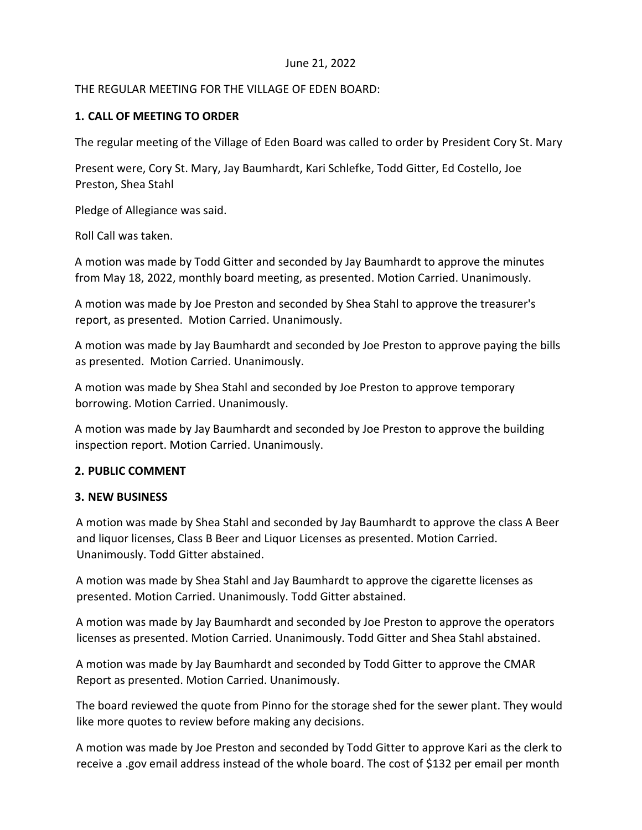## June 21, 2022

## THE REGULAR MEETING FOR THE VILLAGE OF EDEN BOARD:

## **1. CALL OF MEETING TO ORDER**

The regular meeting of the Village of Eden Board was called to order by President Cory St. Mary

Present were, Cory St. Mary, Jay Baumhardt, Kari Schlefke, Todd Gitter, Ed Costello, Joe Preston, Shea Stahl

Pledge of Allegiance was said.

Roll Call was taken.

A motion was made by Todd Gitter and seconded by Jay Baumhardt to approve the minutes from May 18, 2022, monthly board meeting, as presented. Motion Carried. Unanimously.

A motion was made by Joe Preston and seconded by Shea Stahl to approve the treasurer's report, as presented. Motion Carried. Unanimously.

A motion was made by Jay Baumhardt and seconded by Joe Preston to approve paying the bills as presented. Motion Carried. Unanimously.

A motion was made by Shea Stahl and seconded by Joe Preston to approve temporary borrowing. Motion Carried. Unanimously.

A motion was made by Jay Baumhardt and seconded by Joe Preston to approve the building inspection report. Motion Carried. Unanimously.

### **2. PUBLIC COMMENT**

### **3. NEW BUSINESS**

A motion was made by Shea Stahl and seconded by Jay Baumhardt to approve the class A Beer and liquor licenses, Class B Beer and Liquor Licenses as presented. Motion Carried. Unanimously. Todd Gitter abstained.

A motion was made by Shea Stahl and Jay Baumhardt to approve the cigarette licenses as presented. Motion Carried. Unanimously. Todd Gitter abstained.

A motion was made by Jay Baumhardt and seconded by Joe Preston to approve the operators licenses as presented. Motion Carried. Unanimously. Todd Gitter and Shea Stahl abstained.

A motion was made by Jay Baumhardt and seconded by Todd Gitter to approve the CMAR Report as presented. Motion Carried. Unanimously.

The board reviewed the quote from Pinno for the storage shed for the sewer plant. They would like more quotes to review before making any decisions.

A motion was made by Joe Preston and seconded by Todd Gitter to approve Kari as the clerk to receive a .gov email address instead of the whole board. The cost of \$132 per email per month